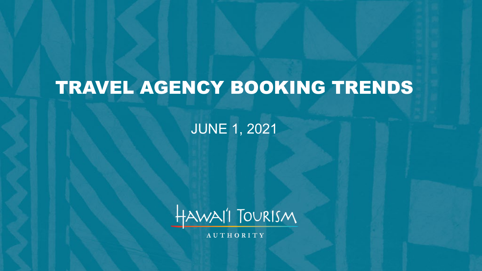# TRAVEL AGENCY BOOKING TRENDS

JUNE 1, 2021



**AUTHORITY**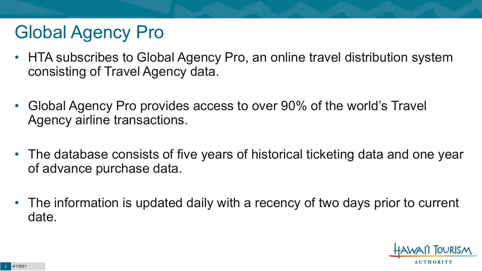## Global Agency Pro

- HTA subscribes to Global Agency Pro, an online travel distribution system consisting of Travel Agency data.
- Global Agency Pro provides access to over 90% of the world's Travel Agency airline transactions.
- The database consists of five years of historical ticketing data and one year of advance purchase data.
- The information is updated daily with a recency of two days prior to current date.

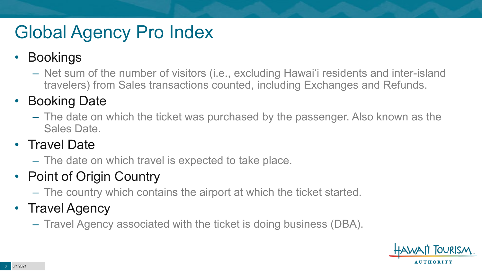# Global Agency Pro Index

#### • Bookings

– Net sum of the number of visitors (i.e., excluding Hawai'i residents and inter-island travelers) from Sales transactions counted, including Exchanges and Refunds.

#### • Booking Date

– The date on which the ticket was purchased by the passenger. Also known as the Sales Date.

#### • Travel Date

– The date on which travel is expected to take place.

#### • Point of Origin Country

– The country which contains the airport at which the ticket started.

#### • Travel Agency

– Travel Agency associated with the ticket is doing business (DBA).

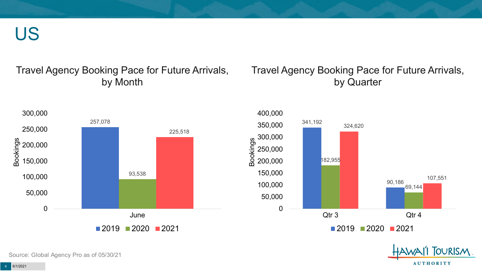US

#### Travel Agency Booking Pace for Future Arrivals, by Month

#### Travel Agency Booking Pace for Future Arrivals, by Quarter





Source: Global Agency Pro as of 05/30/21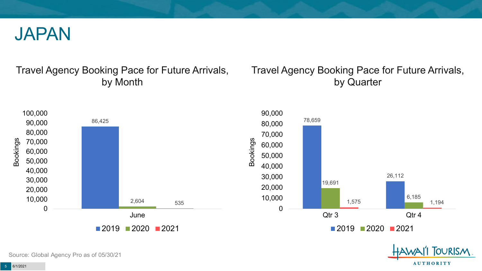

#### Travel Agency Booking Pace for Future Arrivals, by Month

#### Travel Agency Booking Pace for Future Arrivals, by Quarter

**FOURISM** 

**AUTHORITY** 



Source: Global Agency Pro as of 05/30/21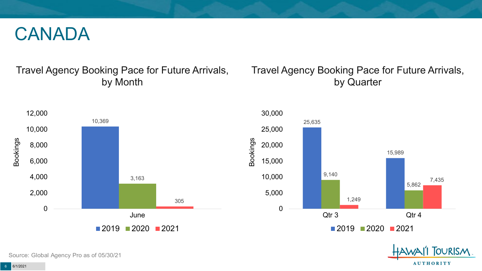#### CANADA

#### Travel Agency Booking Pace for Future Arrivals, by Month

#### Travel Agency Booking Pace for Future Arrivals, by Quarter





**FOURISM. AUTHORITY** 

Source: Global Agency Pro as of 05/30/21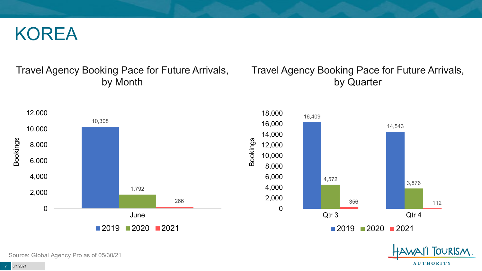#### KOREA

#### Travel Agency Booking Pace for Future Arrivals, by Month

#### Travel Agency Booking Pace for Future Arrivals, by Quarter

14,543



**FOURISM. AUTHORITY** 

Source: Global Agency Pro as of 05/30/21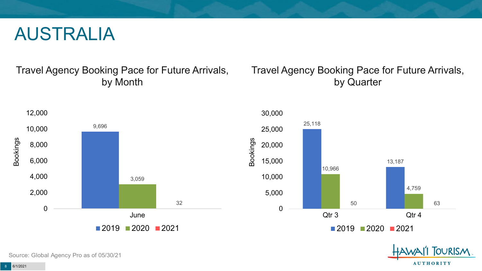#### AUSTRALIA

Travel Agency Booking Pace for Future Arrivals, by Month

#### Travel Agency Booking Pace for Future Arrivals, by Quarter







Source: Global Agency Pro as of 05/30/21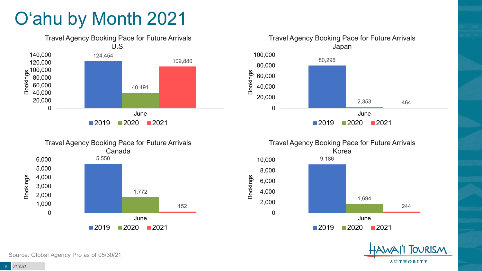# O'ahu by Month 2021











Source: Global Agency Pro as of 05/30/21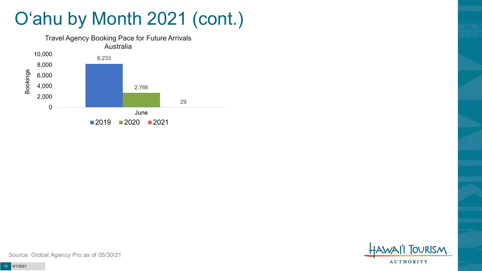## O'ahu by Month 2021 (cont.)





Source: Global Agency Pro as of 05/30/21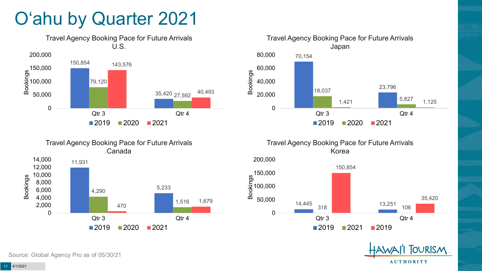### O'ahu by Quarter 2021











Source: Global Agency Pro as of 05/30/21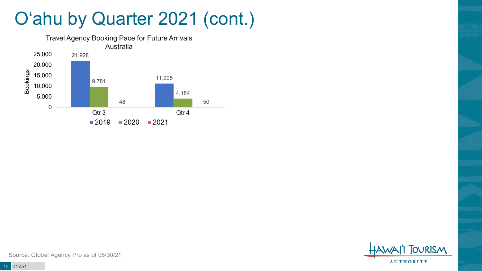#### O'ahu by Quarter 2021 (cont.)





Source: Global Agency Pro as of 05/30/21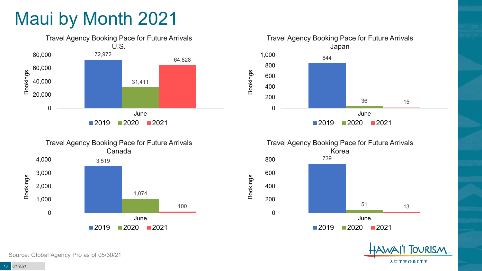## Maui by Month 2021











Source: Global Agency Pro as of 05/30/21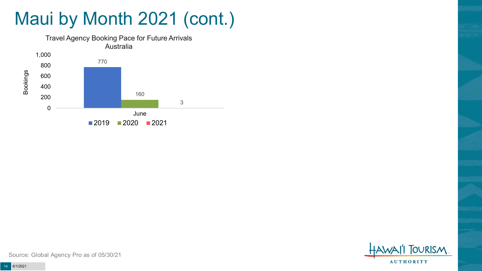# Maui by Month 2021 (cont.)





Source: Global Agency Pro as of 05/30/21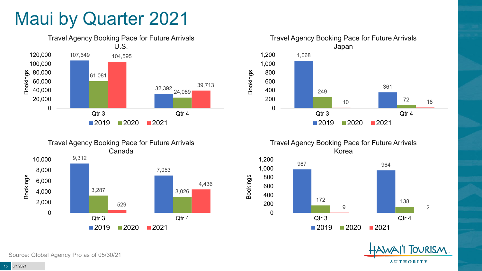#### Maui by Quarter 2021







Travel Agency Booking Pace for Future Arrivals Korea



Bookings



Source: Global Agency Pro as of 05/30/21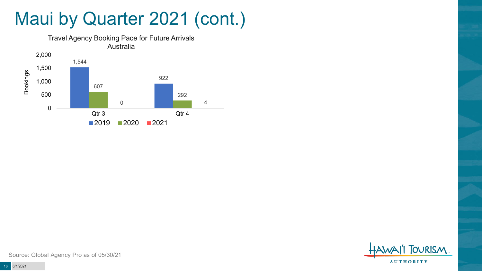#### Maui by Quarter 2021 (cont.)



**OURISM AUTHORITY** 

Source: Global Agency Pro as of 05/30/21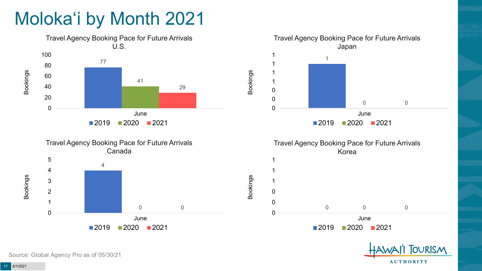## Moloka'i by Month 2021



**AUTHORITY** 

Source: Global Agency Pro as of 05/30/21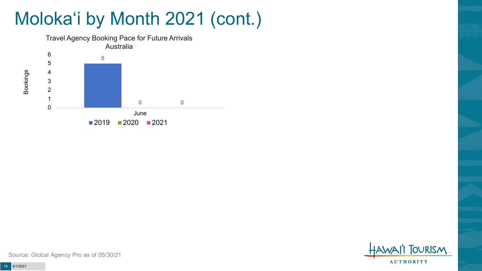## Moloka'i by Month 2021 (cont.)



**TOURISM AUTHORITY** 

Source: Global Agency Pro as of 05/30/21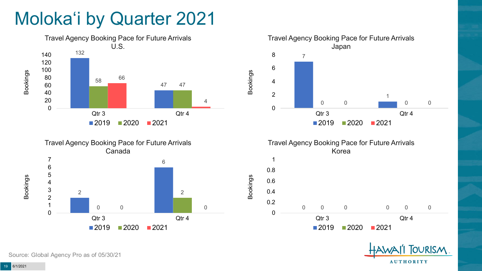## Moloka'i by Quarter 2021









Bookings

**OURISM AUTHORITY** 

Source: Global Agency Pro as of 05/30/21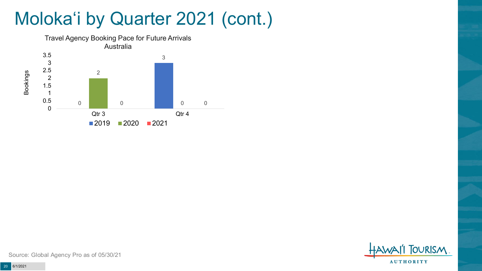### Moloka'i by Quarter 2021 (cont.)



**TOURISM AUTHORITY** 

Source: Global Agency Pro as of 05/30/21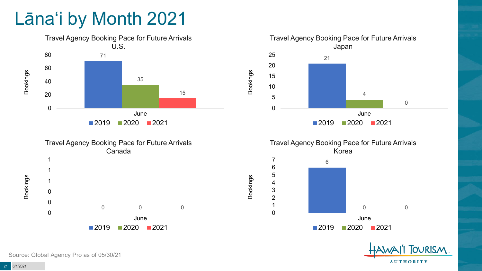### Lāna'i by Month 2021



0 0

June

2020 2021



**OURISM AUTHORITY** 

Source: Global Agency Pro as of 05/30/21

 $\Omega$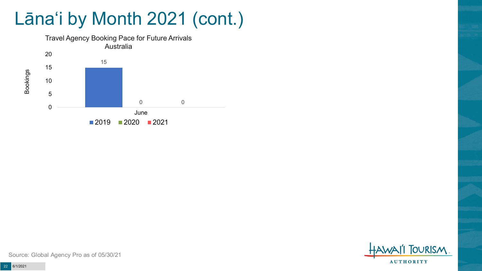## Lāna'i by Month 2021 (cont.)





Source: Global Agency Pro as of 05/30/21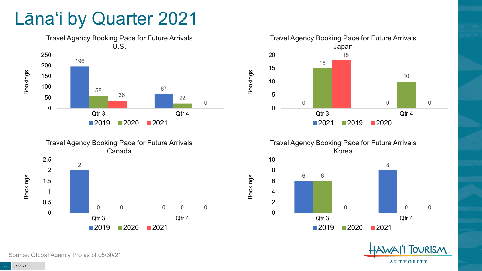#### Lāna'i by Quarter 2021







Travel Agency Booking Pace for Future Arrivals Korea



Bookings

**OURISM AUTHORITY** 

Source: Global Agency Pro as of 05/30/21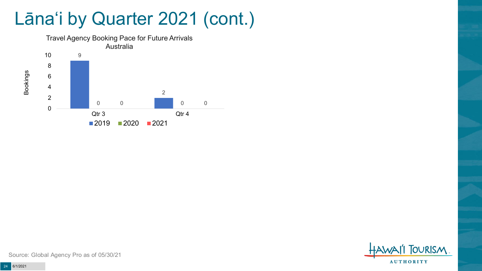#### Lāna'i by Quarter 2021 (cont.)





Source: Global Agency Pro as of 05/30/21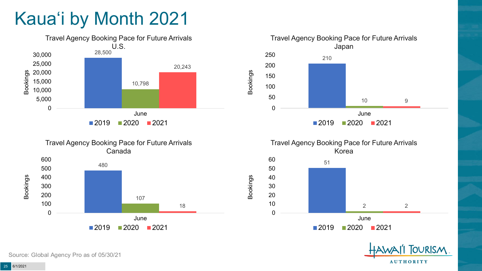## Kaua'i by Month 2021









Bookings





Source: Global Agency Pro as of 05/30/21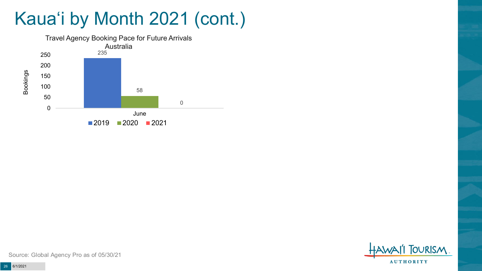### Kaua'i by Month 2021 (cont.)





Source: Global Agency Pro as of 05/30/21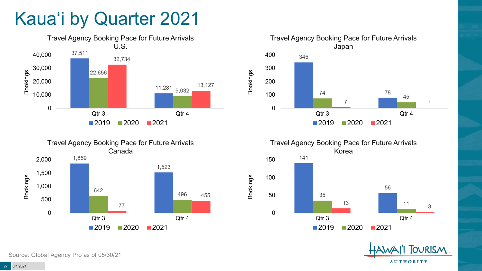## Kaua'i by Quarter 2021







Travel Agency Booking Pace for Future Arrivals Korea 141 56 35 13 11 3 0 50 100 150 Qtr 3 Qtr 4  $2019$  2020 2021

Bookings



Source: Global Agency Pro as of 05/30/21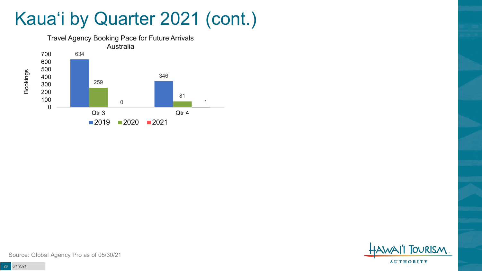### Kaua'i by Quarter 2021 (cont.)





Source: Global Agency Pro as of 05/30/21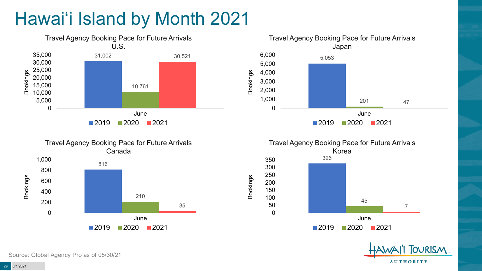# Hawai'i Island by Month 2021











Source: Global Agency Pro as of 05/30/21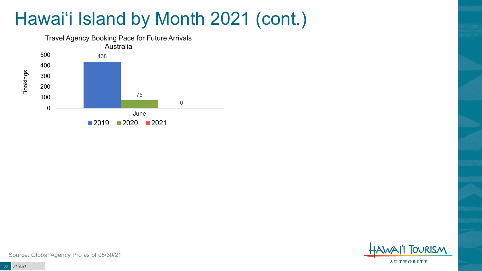## Hawai'i Island by Month 2021 (cont.)





Source: Global Agency Pro as of 05/30/21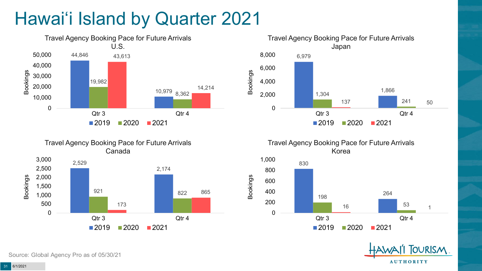### Hawai'i Island by Quarter 2021







Travel Agency Booking Pace for Future Arrivals Korea 830 1,000

Bookings





Source: Global Agency Pro as of 05/30/21